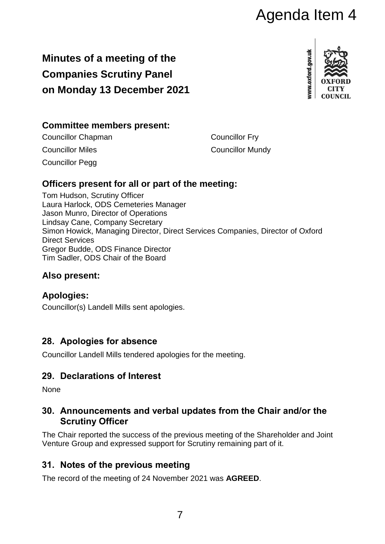# Agenda Item 4

## **Minutes of a meeting of the Companies Scrutiny Panel on Monday 13 December 2021**



## **Committee members present:**

Councillor Chapman Councillor Fry **Councillor Miles Councillor Mundy** Councillor Pegg

## **Officers present for all or part of the meeting:**

Tom Hudson, Scrutiny Officer Laura Harlock, ODS Cemeteries Manager Jason Munro, Director of Operations Lindsay Cane, Company Secretary Simon Howick, Managing Director, Direct Services Companies, Director of Oxford Direct Services Gregor Budde, ODS Finance Director Tim Sadler, ODS Chair of the Board

## **Also present:**

## **Apologies:**

Councillor(s) Landell Mills sent apologies.

## **28. Apologies for absence**

Councillor Landell Mills tendered apologies for the meeting.

## **29. Declarations of Interest**

None

#### **30. Announcements and verbal updates from the Chair and/or the Scrutiny Officer**

The Chair reported the success of the previous meeting of the Shareholder and Joint Venture Group and expressed support for Scrutiny remaining part of it.

## **31. Notes of the previous meeting**

The record of the meeting of 24 November 2021 was **AGREED**.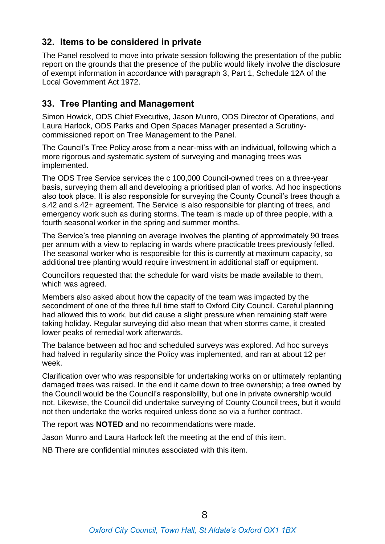## **32. Items to be considered in private**

The Panel resolved to move into private session following the presentation of the public report on the grounds that the presence of the public would likely involve the disclosure of exempt information in accordance with paragraph 3, Part 1, Schedule 12A of the Local Government Act 1972.

## **33. Tree Planting and Management**

Simon Howick, ODS Chief Executive, Jason Munro, ODS Director of Operations, and Laura Harlock, ODS Parks and Open Spaces Manager presented a Scrutinycommissioned report on Tree Management to the Panel.

The Council's Tree Policy arose from a near-miss with an individual, following which a more rigorous and systematic system of surveying and managing trees was implemented.

The ODS Tree Service services the c 100,000 Council-owned trees on a three-year basis, surveying them all and developing a prioritised plan of works. Ad hoc inspections also took place. It is also responsible for surveying the County Council's trees though a s.42 and s.42+ agreement. The Service is also responsible for planting of trees, and emergency work such as during storms. The team is made up of three people, with a fourth seasonal worker in the spring and summer months.

The Service's tree planning on average involves the planting of approximately 90 trees per annum with a view to replacing in wards where practicable trees previously felled. The seasonal worker who is responsible for this is currently at maximum capacity, so additional tree planting would require investment in additional staff or equipment.

Councillors requested that the schedule for ward visits be made available to them, which was agreed.

Members also asked about how the capacity of the team was impacted by the secondment of one of the three full time staff to Oxford City Council. Careful planning had allowed this to work, but did cause a slight pressure when remaining staff were taking holiday. Regular surveying did also mean that when storms came, it created lower peaks of remedial work afterwards.

The balance between ad hoc and scheduled surveys was explored. Ad hoc surveys had halved in regularity since the Policy was implemented, and ran at about 12 per week.

Clarification over who was responsible for undertaking works on or ultimately replanting damaged trees was raised. In the end it came down to tree ownership; a tree owned by the Council would be the Council's responsibility, but one in private ownership would not. Likewise, the Council did undertake surveying of County Council trees, but it would not then undertake the works required unless done so via a further contract.

The report was **NOTED** and no recommendations were made.

Jason Munro and Laura Harlock left the meeting at the end of this item.

NB There are confidential minutes associated with this item.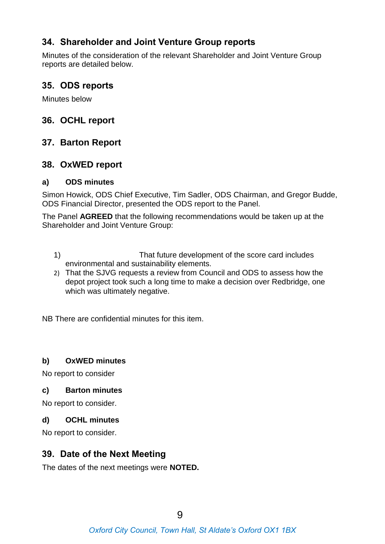## **34. Shareholder and Joint Venture Group reports**

Minutes of the consideration of the relevant Shareholder and Joint Venture Group reports are detailed below.

#### **35. ODS reports**

Minutes below

#### **36. OCHL report**

#### **37. Barton Report**

#### **38. OxWED report**

#### **a) ODS minutes**

Simon Howick, ODS Chief Executive, Tim Sadler, ODS Chairman, and Gregor Budde, ODS Financial Director, presented the ODS report to the Panel.

The Panel **AGREED** that the following recommendations would be taken up at the Shareholder and Joint Venture Group:

- 1) That future development of the score card includes environmental and sustainability elements.
- 2) That the SJVG requests a review from Council and ODS to assess how the depot project took such a long time to make a decision over Redbridge, one which was ultimately negative.

NB There are confidential minutes for this item.

#### **b) OxWED minutes**

No report to consider

#### **c) Barton minutes**

No report to consider.

#### **d) OCHL minutes**

No report to consider.

#### **39. Date of the Next Meeting**

The dates of the next meetings were **NOTED.**